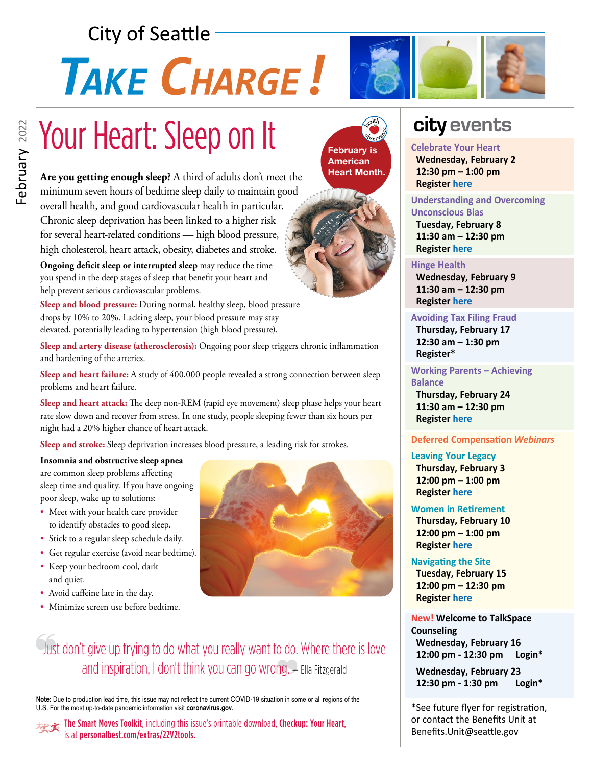# **City of Seattle**

# TAKE CHARGE!

# Your Heart: Sleep on It

**Are you getting enough sleep?** A third of adults don't meet the minimum seven hours of bedtime sleep daily to maintain good overall health, and good cardiovascular health in particular. Chronic sleep deprivation has been linked to a higher risk for several heart-related conditions — high blood pressure, high cholesterol, heart attack, obesity, diabetes and stroke.

**Ongoing deficit sleep or interrupted sleep** may reduce the time you spend in the deep stages of sleep that benefit your heart and help prevent serious cardiovascular problems.

**Sleep and blood pressure:** During normal, healthy sleep, blood pressure drops by 10% to 20%. Lacking sleep, your blood pressure may stay elevated, potentially leading to hypertension (high blood pressure).

**Sleep and artery disease (atherosclerosis):** Ongoing poor sleep triggers chronic inflammation and hardening of the arteries.

**Sleep and heart failure:** A study of 400,000 people revealed a strong connection between sleep problems and heart failure.

**Sleep and heart attack:** The deep non-REM (rapid eye movement) sleep phase helps your heart rate slow down and recover from stress. In one study, people sleeping fewer than six hours per night had a 20% higher chance of heart attack.

**Sleep and stroke:** Sleep deprivation increases blood pressure, a leading risk for strokes.

**Insomnia and obstructive sleep apnea** are common sleep problems affecting sleep time and quality. If you have ongoing poor sleep, wake up to solutions:

- Meet with your health care provider to identify obstacles to good sleep.
- Stick to a regular sleep schedule daily.
- Get regular exercise (avoid near bedtime).
- Keep your bedroom cool, dark and quiet.
- Avoid caffeine late in the day.
- Minimize screen use before bedtime.



### Just don't give up trying to do what you really want to do. Where there is love and inspiration, I don't think you can go wrong. — Ella Fitzgerald

**Note:** Due to production lead time, this issue may not reflect the current COVID-19 situation in some or all regions of the U.S. For the most up-to-date pandemic information visit **coronavirus.gov**.

The Smart Moves Toolkit, including this issue's printable download, Checkup: Your Heart, is at [personalbest.com/extras/22V2tools](http://personalbest.com/extras/22V2tools).





#### **Celebrate Your Heart**

 **Wednesday, February 2 12:30 pm – 1:00 pm Register [here](https://kpevents.webex.com/ec3300/eventcenter/enroll/join.do?confId=212423069996689724&theAction=detail&path=program_detail&siteurl=kpevents&confViewID=212423069996689724&internalProgramTicketUnList=4832534b0000000552c4464e90c17002295f8865fe34470556618654bcd3fb0c24b234ceba57304d&MK=25935107345)**

#### **Understanding and Overcoming Unconscious Bias**

 **Tuesday, February 8 11:30 am – 12:30 pm Register [here](https://bit.ly/3rgfsdX)**

#### **Hinge Health**

 **Wednesday, February 9 11:30 am – 12:30 pm Register [here](https://hingehealth.zoom.us/webinar/register/WN_6wsgU_DLRHW61y_28KkDpQ)**

**Avoiding Tax Filing Fraud Thursday, February 17 12:30 am – 1:30 pm Register\***

**Working Parents – Achieving Balance**

 **Thursday, February 24 11:30 am – 12:30 pm Register [here](https://bit.ly/3IDPPuE)**

#### **Deferred Compensation** *Webinars*

**Leaving Your Legacy**

 **Thursday, February 3 12:00 pm – 1:00 pm Register [here](https://register.gotowebinar.com/register/4636990597834666255)**

#### **Women in Retirement**

 **Thursday, February 10 12:00 pm – 1:00 pm Register [here](https://attendee.gotowebinar.com/register/2871200212393883407)**

**Navigating the Site Tuesday, February 15 12:00 pm – 12:30 pm Register [here](https://seattle.webex.com/mw3300/mywebex/default.do?nomenu=true&siteurl=seattle&service=6&rnd=0.7804234705899905&main_url=https%3A%2F%2Fseattle.webex.com%2Fec3300%2Feventcenter%2Fevent%2FeventAction.do%3FtheAction%3Ddetail%26%26%26EMK%3D4832534b0000000568e9f51f9dfe3ff192490e492743a7c3780177f3b2b609653bd88f5cac9779b7%26siteurl%3Dseattle%26confViewID%3D214871359315000382%26encryptTicket%3DSDJTSwAAAAWzvLq6ihsde_j2I1-HAIlgvcgwca4GEVziPUNLg52n7Q2%26)**

**New! Welcome to TalkSpace Counseling Wednesday, February 16 12:00 pm - 12:30 pm Login\***

 **Wednesday, February 23 12:30 pm - 1:30 pm Login\***

\*See future flyer for registration, or contact the Benefits Unit at Benefits.Unit@seattle.gov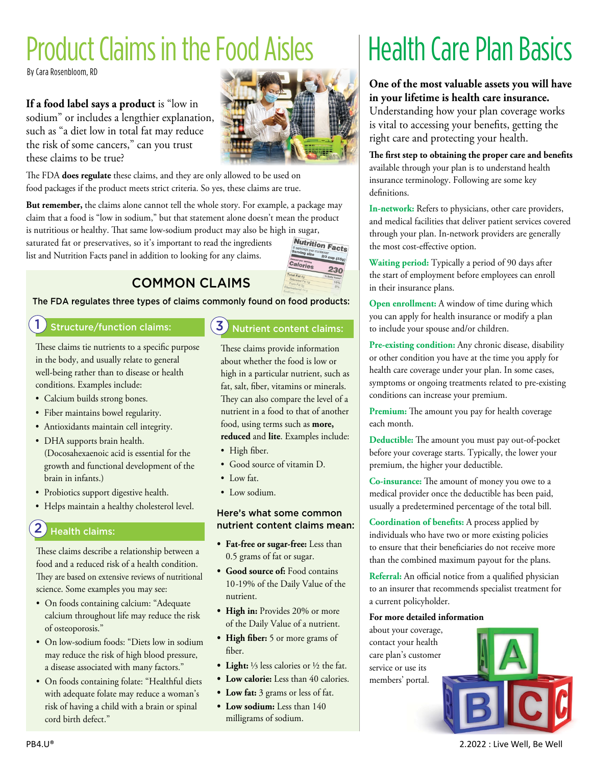# Product Claims in the Food Aisles

By Cara Rosenbloom, RD

**If a food label says a product** is "low in sodium" or includes a lengthier explanation, such as "a diet low in total fat may reduce the risk of some cancers," can you trust these claims to be true?



The FDA **does regulate** these claims, and they are only allowed to be used on food packages if the product meets strict criteria. So yes, these claims are true.

**But remember,** the claims alone cannot tell the whole story. For example, a package may claim that a food is "low in sodium," but that statement alone doesn't mean the product

is nutritious or healthy. That same low-sodium product may also be high in sugar,<br>saturated fat or preservatives, so it's important to read the ingredients<br> $\frac{Nutrition \, Facts}{\frac{1}{2} \cdot \frac{1}{2} \cdot \frac{1}{2} \cdot \frac{1}{2} \cdot \frac{1}{2} \cdot \frac{1}{2} \$ saturated fat or preservatives, so it's important to read the ingredients list and Nutrition Facts panel in addition to looking for any claims.



COMMON CLAIMS

#### The FDA regulates three types of claims commonly found on food products:

#### 1 Structure/function claims: **3**

These claims tie nutrients to a specific purpose in the body, and usually relate to general well-being rather than to disease or health conditions. Examples include:

- Calcium builds strong bones.
- Fiber maintains bowel regularity.
- Antioxidants maintain cell integrity.
- DHA supports brain health. (Docosahexaenoic acid is essential for the growth and functional development of the brain in infants.)
- Probiotics support digestive health.
- Helps maintain a healthy cholesterol level.

#### 2 Health claims:

These claims describe a relationship between a food and a reduced risk of a health condition. They are based on extensive reviews of nutritional science. Some examples you may see:

- On foods containing calcium: "Adequate calcium throughout life may reduce the risk of osteoporosis."
- On low-sodium foods: "Diets low in sodium may reduce the risk of high blood pressure, a disease associated with many factors."
- On foods containing folate: "Healthful diets with adequate folate may reduce a woman's risk of having a child with a brain or spinal cord birth defect."

#### Nutrient content claims:

These claims provide information about whether the food is low or high in a particular nutrient, such as fat, salt, fiber, vitamins or minerals. They can also compare the level of a nutrient in a food to that of another food, using terms such as **more, reduced** and **lite**. Examples include:

- High fiber.
- Good source of vitamin D.
- Low fat.
- Low sodium.

#### Here's what some common nutrient content claims mean:

- **• Fat-free or sugar-free:** Less than 0.5 grams of fat or sugar.
- **• Good source of:** Food contains 10-19% of the Daily Value of the nutrient.
- **• High in:** Provides 20% or more of the Daily Value of a nutrient.
- **• High fiber:** 5 or more grams of fiber.
- **• Light:** ⅓ less calories or ½ the fat.
- **• Low calorie:** Less than 40 calories.
- **• Low fat:** 3 grams or less of fat.
- **• Low sodium:** Less than 140 milligrams of sodium.

# Health Care Plan Basics

**One of the most valuable assets you will have in your lifetime is health care insurance.**

Understanding how your plan coverage works is vital to accessing your benefits, getting the right care and protecting your health.

**The first step to obtaining the proper care and benefits** available through your plan is to understand health insurance terminology. Following are some key definitions.

**In-network:** Refers to physicians, other care providers, and medical facilities that deliver patient services covered through your plan. In-network providers are generally the most cost-effective option.

**Waiting period:** Typically a period of 90 days after the start of employment before employees can enroll in their insurance plans.

**Open enrollment:** A window of time during which you can apply for health insurance or modify a plan to include your spouse and/or children.

**Pre-existing condition:** Any chronic disease, disability or other condition you have at the time you apply for health care coverage under your plan. In some cases, symptoms or ongoing treatments related to pre-existing conditions can increase your premium.

**Premium:** The amount you pay for health coverage each month.

**Deductible:** The amount you must pay out-of-pocket before your coverage starts. Typically, the lower your premium, the higher your deductible.

**Co-insurance:** The amount of money you owe to a medical provider once the deductible has been paid, usually a predetermined percentage of the total bill.

**Coordination of benefits:** A process applied by individuals who have two or more existing policies to ensure that their beneficiaries do not receive more than the combined maximum payout for the plans.

**Referral:** An official notice from a qualified physician to an insurer that recommends specialist treatment for a current policyholder.

#### **For more detailed information**

about your coverage, contact your health care plan's customer service or use its members' portal.

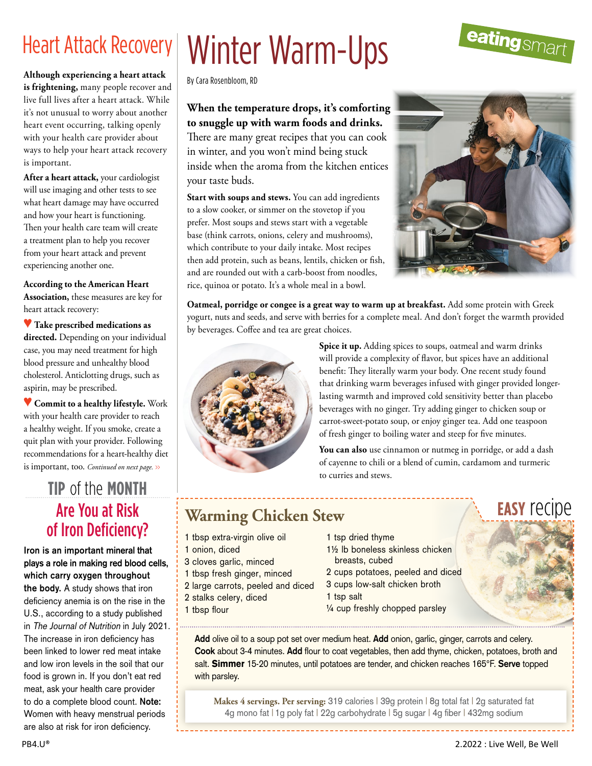**Although experiencing a heart attack is frightening,** many people recover and live full lives after a heart attack. While it's not unusual to worry about another heart event occurring, talking openly with your health care provider about ways to help your heart attack recovery is important.

**After a heart attack,** your cardiologist will use imaging and other tests to see what heart damage may have occurred and how your heart is functioning. Then your health care team will create a treatment plan to help you recover from your heart attack and prevent experiencing another one.

**According to the American Heart Association,** these measures are key for

heart attack recovery:

♥ **Take prescribed medications as directed.** Depending on your individual case, you may need treatment for high blood pressure and unhealthy blood cholesterol. Anticlotting drugs, such as aspirin, may be prescribed.

♥ **Commit to a healthy lifestyle.** Work with your health care provider to reach a healthy weight. If you smoke, create a quit plan with your provider. Following recommendations for a heart-healthy diet is important, too. *Continued on next page. >>*

### Are You at Risk of Iron Deficiency? **tip** of the **month**

**Iron is an important mineral that plays a role in making red blood cells, which carry oxygen throughout the body.** A study shows that iron deficiency anemia is on the rise in the U.S., according to a study published in The Journal of Nutrition in July 2021. The increase in iron deficiency has been linked to lower red meat intake and low iron levels in the soil that our food is grown in. If you don't eat red meat, ask your health care provider to do a complete blood count. **Note:** Women with heavy menstrual periods are also at risk for iron deficiency.

# Heart Attack Recovery | Winter Warm-Ups

By Cara Rosenbloom, RD

**When the temperature drops, it's comforting to snuggle up with warm foods and drinks.**  There are many great recipes that you can cook

in winter, and you won't mind being stuck inside when the aroma from the kitchen entices your taste buds.

**Start with soups and stews.** You can add ingredients to a slow cooker, or simmer on the stovetop if you prefer. Most soups and stews start with a vegetable base (think carrots, onions, celery and mushrooms), which contribute to your daily intake. Most recipes then add protein, such as beans, lentils, chicken or fish, and are rounded out with a carb-boost from noodles, rice, quinoa or potato. It's a whole meal in a bowl.

![](_page_2_Picture_13.jpeg)

**Oatmeal, porridge or congee is a great way to warm up at breakfast.** Add some protein with Greek yogurt, nuts and seeds, and serve with berries for a complete meal. And don't forget the warmth provided by beverages. Coffee and tea are great choices.

![](_page_2_Picture_15.jpeg)

 **Spice it up.** Adding spices to soups, oatmeal and warm drinks will provide a complexity of flavor, but spices have an additional benefit: They literally warm your body. One recent study found that drinking warm beverages infused with ginger provided longerlasting warmth and improved cold sensitivity better than placebo beverages with no ginger. Try adding ginger to chicken soup or carrot-sweet-potato soup, or enjoy ginger tea. Add one teaspoon of fresh ginger to boiling water and steep for five minutes.

 **You can also** use cinnamon or nutmeg in porridge, or add a dash of cayenne to chili or a blend of cumin, cardamom and turmeric to curries and stews.

# **Warming Chicken Stew**

1 tbsp extra-virgin olive oil

3 cloves garlic, minced 1 tbsp fresh ginger, minced 2 large carrots, peeled and diced

2 stalks celery, diced

1 onion, diced

1 tbsp flour

- 1 tsp dried thyme
- 1½ lb boneless skinless chicken breasts, cubed
- 2 cups potatoes, peeled and diced
- 3 cups low-salt chicken broth
- 1 tsp salt
- ¼ cup freshly chopped parsley

**Add** olive oil to a soup pot set over medium heat. **Add** onion, garlic, ginger, carrots and celery. **Cook** about 3-4 minutes. **Add** flour to coat vegetables, then add thyme, chicken, potatoes, broth and salt. Simmer 15-20 minutes, until potatoes are tender, and chicken reaches 165°F. **Serve** topped with parsley.

**Makes 4 servings. Per serving:** 319 calories | 39g protein | 8g total fat | 2g saturated fat 4g mono fat | 1g poly fat | 22g carbohydrate | 5g sugar | 4g fiber | 432mg sodium

![](_page_2_Picture_27.jpeg)

**easy** recipe